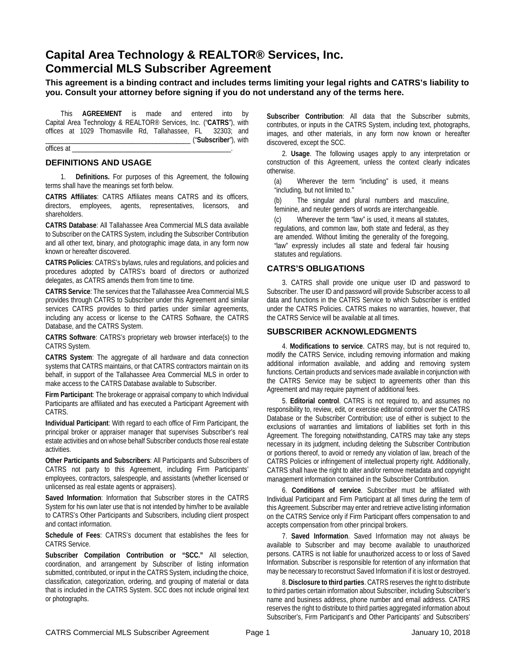# **Capital Area Technology & REALTOR® Services, Inc. Commercial MLS Subscriber Agreement**

**This agreement is a binding contract and includes terms limiting your legal rights and CATRS's liability to you. Consult your attorney before signing if you do not understand any of the terms here.**

This **AGREEMENT** is made and entered into by Capital Area Technology & REALTOR® Services, Inc. ("**CATRS**"), with offices at 1029 Thomasville Rd, Tallahassee, FL 32303; and \_\_\_\_\_\_\_\_\_\_\_\_\_\_\_\_\_\_\_\_\_\_\_\_\_\_\_\_\_\_\_\_\_\_\_\_\_\_\_\_\_\_ ("**Subscriber**"), with

offices at

### **DEFINITIONS AND USAGE**

1. **Definitions.** For purposes of this Agreement, the following terms shall have the meanings set forth below.

**CATRS Affiliates**: CATRS Affiliates means CATRS and its officers, directors, employees, agents, representatives, licensors, and shareholders.

**CATRS Database**: All Tallahassee Area Commercial MLS data available to Subscriber on the CATRS System, including the Subscriber Contribution and all other text, binary, and photographic image data, in any form now known or hereafter discovered.

**CATRS Policies**: CATRS's bylaws, rules and regulations, and policies and procedures adopted by CATRS's board of directors or authorized delegates, as CATRS amends them from time to time.

**CATRS Service**: The services that the Tallahassee Area Commercial MLS provides through CATRS to Subscriber under this Agreement and similar services CATRS provides to third parties under similar agreements, including any access or license to the CATRS Software, the CATRS Database, and the CATRS System.

**CATRS Software**: CATRS's proprietary web browser interface(s) to the CATRS System.

**CATRS System**: The aggregate of all hardware and data connection systems that CATRS maintains, or that CATRS contractors maintain on its behalf, in support of the Tallahassee Area Commercial MLS in order to make access to the CATRS Database available to Subscriber.

**Firm Participant**: The brokerage or appraisal company to which Individual Participants are affiliated and has executed a Participant Agreement with CATRS.

**Individual Participant**: With regard to each office of Firm Participant, the principal broker or appraiser manager that supervises Subscriber's real estate activities and on whose behalf Subscriber conducts those real estate activities.

**Other Participants and Subscribers**: All Participants and Subscribers of CATRS not party to this Agreement, including Firm Participants' employees, contractors, salespeople, and assistants (whether licensed or unlicensed as real estate agents or appraisers).

**Saved Information**: Information that Subscriber stores in the CATRS System for his own later use that is not intended by him/her to be available to CATRS's Other Participants and Subscribers, including client prospect and contact information.

**Schedule of Fees**: CATRS's document that establishes the fees for CATRS Service.

**Subscriber Compilation Contribution or "SCC."** All selection, coordination, and arrangement by Subscriber of listing information submitted, contributed, or input in the CATRS System, including the choice, classification, categorization, ordering, and grouping of material or data that is included in the CATRS System. SCC does not include original text or photographs.

**Subscriber Contribution**: All data that the Subscriber submits, contributes, or inputs in the CATRS System, including text, photographs, images, and other materials, in any form now known or hereafter discovered, except the SCC.

2. **Usage**. The following usages apply to any interpretation or construction of this Agreement, unless the context clearly indicates otherwise.

(a) Wherever the term "including" is used, it means "including, but not limited to."

(b) The singular and plural numbers and masculine, feminine, and neuter genders of words are interchangeable.

(c) Wherever the term "law" is used, it means all statutes, regulations, and common law, both state and federal, as they are amended. Without limiting the generality of the foregoing, "law" expressly includes all state and federal fair housing statutes and regulations.

## **CATRS'S OBLIGATIONS**

3. CATRS shall provide one unique user ID and password to Subscriber. The user ID and password will provide Subscriber access to all data and functions in the CATRS Service to which Subscriber is entitled under the CATRS Policies. CATRS makes no warranties, however, that the CATRS Service will be available at all times.

#### **SUBSCRIBER ACKNOWLEDGMENTS**

4. **Modifications to service**. CATRS may, but is not required to, modify the CATRS Service, including removing information and making additional information available, and adding and removing system functions. Certain products and services made available in conjunction with the CATRS Service may be subject to agreements other than this Agreement and may require payment of additional fees.

5. **Editorial control**. CATRS is not required to, and assumes no responsibility to, review, edit, or exercise editorial control over the CATRS Database or the Subscriber Contribution; use of either is subject to the exclusions of warranties and limitations of liabilities set forth in this Agreement. The foregoing notwithstanding, CATRS may take any steps necessary in its judgment, including deleting the Subscriber Contribution or portions thereof, to avoid or remedy any violation of law, breach of the CATRS Policies or infringement of intellectual property right. Additionally, CATRS shall have the right to alter and/or remove metadata and copyright management information contained in the Subscriber Contribution.

6. **Conditions of service**. Subscriber must be affiliated with Individual Participant and Firm Participant at all times during the term of this Agreement. Subscriber may enter and retrieve active listing information on the CATRS Service only if Firm Participant offers compensation to and accepts compensation from other principal brokers.

7. **Saved Information**. Saved Information may not always be available to Subscriber and may become available to unauthorized persons. CATRS is not liable for unauthorized access to or loss of Saved Information. Subscriber is responsible for retention of any information that may be necessary to reconstruct Saved Information if it is lost or destroyed.

8. **Disclosure to third parties**. CATRS reserves the right to distribute to third parties certain information about Subscriber, including Subscriber's name and business address, phone number and email address. CATRS reserves the right to distribute to third parties aggregated information about Subscriber's, Firm Participant's and Other Participants' and Subscribers'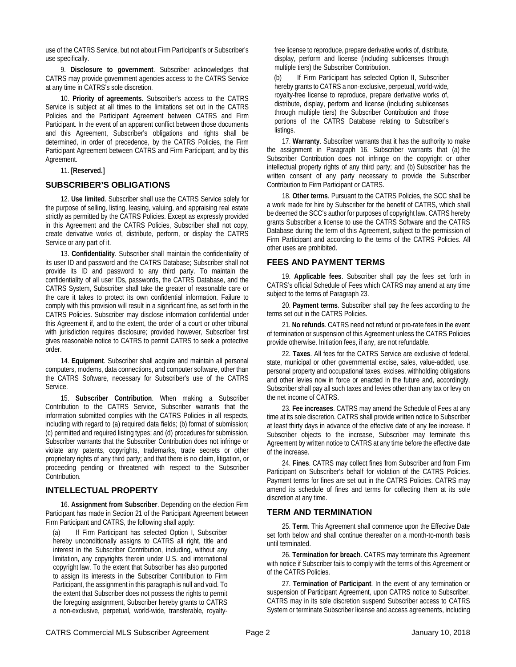use of the CATRS Service, but not about Firm Participant's or Subscriber's use specifically.

9. **Disclosure to government**. Subscriber acknowledges that CATRS may provide government agencies access to the CATRS Service at any time in CATRS's sole discretion.

10. **Priority of agreements**. Subscriber's access to the CATRS Service is subject at all times to the limitations set out in the CATRS Policies and the Participant Agreement between CATRS and Firm Participant. In the event of an apparent conflict between those documents and this Agreement, Subscriber's obligations and rights shall be determined, in order of precedence, by the CATRS Policies, the Firm Participant Agreement between CATRS and Firm Participant, and by this Agreement.

11. **[Reserved.]**

#### **SUBSCRIBER'S OBLIGATIONS**

12. **Use limited**. Subscriber shall use the CATRS Service solely for the purpose of selling, listing, leasing, valuing, and appraising real estate strictly as permitted by the CATRS Policies. Except as expressly provided in this Agreement and the CATRS Policies, Subscriber shall not copy, create derivative works of, distribute, perform, or display the CATRS Service or any part of it.

13. **Confidentiality**. Subscriber shall maintain the confidentiality of its user ID and password and the CATRS Database; Subscriber shall not provide its ID and password to any third party. To maintain the confidentiality of all user IDs, passwords, the CATRS Database, and the CATRS System, Subscriber shall take the greater of reasonable care or the care it takes to protect its own confidential information. Failure to comply with this provision will result in a significant fine, as set forth in the CATRS Policies. Subscriber may disclose information confidential under this Agreement if, and to the extent, the order of a court or other tribunal with jurisdiction requires disclosure; provided however, Subscriber first gives reasonable notice to CATRS to permit CATRS to seek a protective order.

14. **Equipment**. Subscriber shall acquire and maintain all personal computers, modems, data connections, and computer software, other than the CATRS Software, necessary for Subscriber's use of the CATRS Service.

15. **Subscriber Contribution**. When making a Subscriber Contribution to the CATRS Service, Subscriber warrants that the information submitted complies with the CATRS Policies in all respects, including with regard to (a) required data fields; (b) format of submission; (c) permitted and required listing types; and (d) procedures for submission. Subscriber warrants that the Subscriber Contribution does not infringe or violate any patents, copyrights, trademarks, trade secrets or other proprietary rights of any third party; and that there is no claim, litigation, or proceeding pending or threatened with respect to the Subscriber Contribution.

## **INTELLECTUAL PROPERTY**

16. **Assignment from Subscriber**. Depending on the election Firm Participant has made in Section 21 of the Participant Agreement between Firm Participant and CATRS, the following shall apply:

(a) If Firm Participant has selected Option I, Subscriber hereby unconditionally assigns to CATRS all right, title and interest in the Subscriber Contribution, including, without any limitation, any copyrights therein under U.S. and international copyright law. To the extent that Subscriber has also purported to assign its interests in the Subscriber Contribution to Firm Participant, the assignment in this paragraph is null and void. To the extent that Subscriber does not possess the rights to permit the foregoing assignment, Subscriber hereby grants to CATRS a non-exclusive, perpetual, world-wide, transferable, royaltyfree license to reproduce, prepare derivative works of, distribute, display, perform and license (including sublicenses through multiple tiers) the Subscriber Contribution.

If Firm Participant has selected Option II, Subscriber hereby grants to CATRS a non-exclusive, perpetual, world-wide, royalty-free license to reproduce, prepare derivative works of, distribute, display, perform and license (including sublicenses through multiple tiers) the Subscriber Contribution and those portions of the CATRS Database relating to Subscriber's listings.

17. **Warranty**. Subscriber warrants that it has the authority to make the assignment in Paragraph 16. Subscriber warrants that (a) the Subscriber Contribution does not infringe on the copyright or other intellectual property rights of any third party; and (b) Subscriber has the written consent of any party necessary to provide the Subscriber Contribution to Firm Participant or CATRS.

18. **Other terms**. Pursuant to the CATRS Policies, the SCC shall be a work made for hire by Subscriber for the benefit of CATRS, which shall be deemed the SCC's author for purposes of copyright law. CATRS hereby grants Subscriber a license to use the CATRS Software and the CATRS Database during the term of this Agreement, subject to the permission of Firm Participant and according to the terms of the CATRS Policies. All other uses are prohibited.

#### **FEES AND PAYMENT TERMS**

19. **Applicable fees**. Subscriber shall pay the fees set forth in CATRS's official Schedule of Fees which CATRS may amend at any time subject to the terms of Paragraph 23.

20. **Payment terms**. Subscriber shall pay the fees according to the terms set out in the CATRS Policies.

21. **No refunds**. CATRS need not refund or pro-rate fees in the event of termination or suspension of this Agreement unless the CATRS Policies provide otherwise. Initiation fees, if any, are not refundable.

22. **Taxes**. All fees for the CATRS Service are exclusive of federal, state, municipal or other governmental excise, sales, value-added, use, personal property and occupational taxes, excises, withholding obligations and other levies now in force or enacted in the future and, accordingly, Subscriber shall pay all such taxes and levies other than any tax or levy on the net income of CATRS.

23. **Fee increases**. CATRS may amend the Schedule of Fees at any time at its sole discretion. CATRS shall provide written notice to Subscriber at least thirty days in advance of the effective date of any fee increase. If Subscriber objects to the increase, Subscriber may terminate this Agreement by written notice to CATRS at any time before the effective date of the increase.

 24. **Fines**. CATRS may collect fines from Subscriber and from Firm Participant on Subscriber's behalf for violation of the CATRS Policies. Payment terms for fines are set out in the CATRS Policies. CATRS may amend its schedule of fines and terms for collecting them at its sole discretion at any time.

## **TERM AND TERMINATION**

 25. **Term**. This Agreement shall commence upon the Effective Date set forth below and shall continue thereafter on a month-to-month basis until terminated.

 26. **Termination for breach**. CATRS may terminate this Agreement with notice if Subscriber fails to comply with the terms of this Agreement or of the CATRS Policies.

 27. **Termination of Participant**. In the event of any termination or suspension of Participant Agreement, upon CATRS notice to Subscriber, CATRS may in its sole discretion suspend Subscriber access to CATRS System or terminate Subscriber license and access agreements, including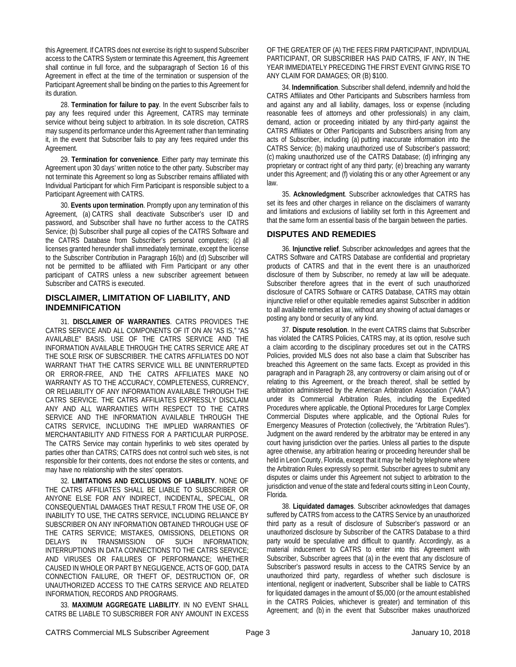this Agreement. If CATRS does not exercise its right to suspend Subscriber access to the CATRS System or terminate this Agreement, this Agreement shall continue in full force, and the subparagraph of Section 16 of this Agreement in effect at the time of the termination or suspension of the Participant Agreement shall be binding on the parties to this Agreement for its duration.

 28. **Termination for failure to pay**. In the event Subscriber fails to pay any fees required under this Agreement, CATRS may terminate service without being subject to arbitration. In its sole discretion, CATRS may suspend its performance under this Agreement rather than terminating it, in the event that Subscriber fails to pay any fees required under this Agreement.

 29. **Termination for convenience**. Either party may terminate this Agreement upon 30 days' written notice to the other party. Subscriber may not terminate this Agreement so long as Subscriber remains affiliated with Individual Participant for which Firm Participant is responsible subject to a Participant Agreement with CATRS.

30. **Events upon termination**. Promptly upon any termination of this Agreement, (a) CATRS shall deactivate Subscriber's user ID and password, and Subscriber shall have no further access to the CATRS Service; (b) Subscriber shall purge all copies of the CATRS Software and the CATRS Database from Subscriber's personal computers; (c) all licenses granted hereunder shall immediately terminate, except the license to the Subscriber Contribution in Paragraph 16(b) and (d) Subscriber will not be permitted to be affiliated with Firm Participant or any other participant of CATRS unless a new subscriber agreement between Subscriber and CATRS is executed.

## **DISCLAIMER, LIMITATION OF LIABILITY, AND INDEMNIFICATION**

 31. **DISCLAIMER OF WARRANTIES**. CATRS PROVIDES THE CATRS SERVICE AND ALL COMPONENTS OF IT ON AN "AS IS," "AS AVAILABLE" BASIS. USE OF THE CATRS SERVICE AND THE INFORMATION AVAILABLE THROUGH THE CATRS SERVICE ARE AT THE SOLE RISK OF SUBSCRIBER. THE CATRS AFFILIATES DO NOT WARRANT THAT THE CATRS SERVICE WILL BE UNINTERRUPTED OR ERROR-FREE, AND THE CATRS AFFILIATES MAKE NO WARRANTY AS TO THE ACCURACY, COMPLETENESS, CURRENCY, OR RELIABILITY OF ANY INFORMATION AVAILABLE THROUGH THE CATRS SERVICE. THE CATRS AFFILIATES EXPRESSLY DISCLAIM ANY AND ALL WARRANTIES WITH RESPECT TO THE CATRS SERVICE AND THE INFORMATION AVAILABLE THROUGH THE CATRS SERVICE, INCLUDING THE IMPLIED WARRANTIES OF MERCHANTABILITY AND FITNESS FOR A PARTICULAR PURPOSE. The CATRS Service may contain hyperlinks to web sites operated by parties other than CATRS; CATRS does not control such web sites, is not responsible for their contents, does not endorse the sites or contents, and may have no relationship with the sites' operators.

 32. **LIMITATIONS AND EXCLUSIONS OF LIABILITY**. NONE OF THE CATRS AFFILIATES SHALL BE LIABLE TO SUBSCRIBER OR ANYONE ELSE FOR ANY INDIRECT, INCIDENTAL, SPECIAL, OR CONSEQUENTIAL DAMAGES THAT RESULT FROM THE USE OF, OR INABILITY TO USE, THE CATRS SERVICE, INCLUDING RELIANCE BY SUBSCRIBER ON ANY INFORMATION OBTAINED THROUGH USE OF THE CATRS SERVICE; MISTAKES, OMISSIONS, DELETIONS OR DELAYS IN TRANSMISSION OF SUCH INFORMATION; INTERRUPTIONS IN DATA CONNECTIONS TO THE CATRS SERVICE; AND VIRUSES OR FAILURES OF PERFORMANCE; WHETHER CAUSED IN WHOLE OR PART BY NEGLIGENCE, ACTS OF GOD, DATA CONNECTION FAILURE, OR THEFT OF, DESTRUCTION OF, OR UNAUTHORIZED ACCESS TO THE CATRS SERVICE AND RELATED INFORMATION, RECORDS AND PROGRAMS.

 33. **MAXIMUM AGGREGATE LIABILITY**. IN NO EVENT SHALL CATRS BE LIABLE TO SUBSCRIBER FOR ANY AMOUNT IN EXCESS OF THE GREATER OF (A) THE FEES FIRM PARTICIPANT, INDIVIDUAL PARTICIPANT, OR SUBSCRIBER HAS PAID CATRS, IF ANY, IN THE YEAR IMMEDIATELY PRECEDING THE FIRST EVENT GIVING RISE TO ANY CLAIM FOR DAMAGES; OR (B) \$100.

 34. **Indemnification**. Subscriber shall defend, indemnify and hold the CATRS Affiliates and Other Participants and Subscribers harmless from and against any and all liability, damages, loss or expense (including reasonable fees of attorneys and other professionals) in any claim, demand, action or proceeding initiated by any third-party against the CATRS Affiliates or Other Participants and Subscribers arising from any acts of Subscriber, including (a) putting inaccurate information into the CATRS Service; (b) making unauthorized use of Subscriber's password; (c) making unauthorized use of the CATRS Database; (d) infringing any proprietary or contract right of any third party; (e) breaching any warranty under this Agreement; and (f) violating this or any other Agreement or any law.

 35. **Acknowledgment**. Subscriber acknowledges that CATRS has set its fees and other charges in reliance on the disclaimers of warranty and limitations and exclusions of liability set forth in this Agreement and that the same form an essential basis of the bargain between the parties.

## **DISPUTES AND REMEDIES**

 36. **Injunctive relief**. Subscriber acknowledges and agrees that the CATRS Software and CATRS Database are confidential and proprietary products of CATRS and that in the event there is an unauthorized disclosure of them by Subscriber, no remedy at law will be adequate. Subscriber therefore agrees that in the event of such unauthorized disclosure of CATRS Software or CATRS Database, CATRS may obtain injunctive relief or other equitable remedies against Subscriber in addition to all available remedies at law, without any showing of actual damages or posting any bond or security of any kind.

 37. **Dispute resolution**. In the event CATRS claims that Subscriber has violated the CATRS Policies, CATRS may, at its option, resolve such a claim according to the disciplinary procedures set out in the CATRS Policies, provided MLS does not also base a claim that Subscriber has breached this Agreement on the same facts. Except as provided in this paragraph and in Paragraph 28, any controversy or claim arising out of or relating to this Agreement, or the breach thereof, shall be settled by arbitration administered by the American Arbitration Association ("AAA") under its Commercial Arbitration Rules, including the Expedited Procedures where applicable, the Optional Procedures for Large Complex Commercial Disputes where applicable, and the Optional Rules for Emergency Measures of Protection (collectively, the "Arbitration Rules"). Judgment on the award rendered by the arbitrator may be entered in any court having jurisdiction over the parties. Unless all parties to the dispute agree otherwise, any arbitration hearing or proceeding hereunder shall be held in Leon County, Florida, except that it may be held by telephone where the Arbitration Rules expressly so permit. Subscriber agrees to submit any disputes or claims under this Agreement not subject to arbitration to the jurisdiction and venue of the state and federal courts sitting in Leon County, Florida.

 38. **Liquidated damages**. Subscriber acknowledges that damages suffered by CATRS from access to the CATRS Service by an unauthorized third party as a result of disclosure of Subscriber's password or an unauthorized disclosure by Subscriber of the CATRS Database to a third party would be speculative and difficult to quantify. Accordingly, as a material inducement to CATRS to enter into this Agreement with Subscriber, Subscriber agrees that (a) in the event that any disclosure of Subscriber's password results in access to the CATRS Service by an unauthorized third party, regardless of whether such disclosure is intentional, negligent or inadvertent, Subscriber shall be liable to CATRS for liquidated damages in the amount of \$5,000 (or the amount established in the CATRS Policies, whichever is greater) and termination of this Agreement; and (b) in the event that Subscriber makes unauthorized